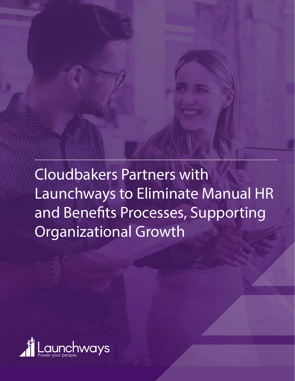

Cloudbakers Partners with Launchways to Eliminate Manual HR and Benefits Processes, Supporting Organizational Growth

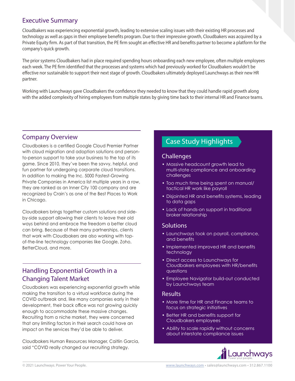# Executive Summary

Cloudbakers was experiencing exponential growth, leading to extensive scaling issues with their existing HR processes and technology as well as gaps in their employee benefits program. Due to their impressive growth, Cloudbakers was acquired by a Private Equity firm. As part of that transition, the PE firm sought an effective HR and benefits partner to become a platform for the company's quick growth.

The prior systems Cloudbakers had in place required spending hours onboarding each new employee, often multiple employees each week. The PE firm identified that the processes and systems which had previously worked for Cloudbakers wouldn't be effective nor sustainable to support their next stage of growth. Cloudbakers ultimately deployed Launchways as their new HR partner.

Working with Launchways gave Cloudbakers the confidence they needed to know that they could handle rapid growth along with the added complexity of hiring employees from multiple states by giving time back to their internal HR and Finance teams.

Cloudbakers is a certified Google Cloud Premier Partner with cloud migration and adoption solutions and personto-person support to take your business to the top of its game. Since 2010, they've been the savvy, helpful, and fun partner for undergoing corporate cloud transitions. In addition to making the Inc. 5000 Fastest-Growing Private Companies in America list multiple years in a row, they are ranked as an Inner City 100 company and are recognized by Crain's as one of the Best Places to Work in Chicago.

Cloudbakers brings together custom solutions and sideby-side support allowing their clients to leave their old ways behind and embrace the freedom a better cloud can bring. Because of their many partnerships, clients that work with Cloudbakers are also working with topof-the-line technology companies like Google, Zoho, BetterCloud, and more.

# Handling Exponential Growth in a Changing Talent Market

Cloudbakers was experiencing exponential growth while making the transition to a virtual workforce during the COVID outbreak and, like many companies early in their development, their back office was not growing quickly enough to accommodate these massive changes. Recruiting from a niche market, they were concerned that any limiting factors in their search could have an impact on the services they'd be able to deliver.

Cloudbakers Human Resources Manager, Caitlin Garcia, said "COVID really changed our recruiting strategy.

# Company Overview<br>
Case Study Highlights Company overview<br>
Case Study Highlights

#### **Challenges**

- Massive headcount growth lead to multi-state compliance and onboarding challenges
- Too much time being spent on manual/ tactical HR work like payroll
- Disjointed HR and benefits systems, leading to data gaps
- Lack of hands-on support in traditional broker relationship

### **Solutions**

- Launchways took on payroll, compliance, and benefits
- Implemented improved HR and benefits technology
- Direct access to Launchways for Cloudbakers employees with HR/benefits questions
- Employee Navigator build-out conducted by Launchways team

#### Results

- More time for HR and Finance teams to focus on strategic initiatives
- Better HR and benefits support for Cloudbakers employees
- Ability to scale rapidly without concerns about interstate compliance issues

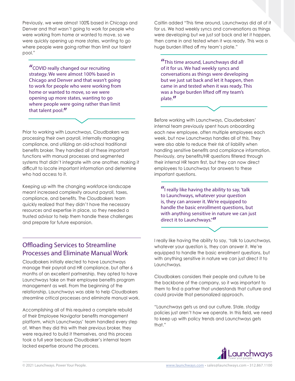Previously, we were almost 100% based in Chicago and Denver and that wasn't going to work for people who were working from home or wanted to move, so we were quickly opening up more states, wanting to go where people were going rather than limit our talent pool."

"COVID really changed our recruiting strategy. We were almost 100% based in Chicago and Denver and that wasn't going to work for people who were working from home or wanted to move, so we were opening up more states, wanting to go where people were going rather than limit that talent pool."

Prior to working with Launchways, Cloudbakers was processing their own payroll, internally managing compliance, and utilizing an old-school traditional benefits broker. They handled all of these important functions with manual processes and segmented systems that didn't integrate with one another, making it difficult to locate important information and determine who had access to it.

Keeping up with the changing workforce landscape meant increased complexity around payroll, taxes, compliance, and benefits. The Cloudbakers team quickly realized that they didn't have the necessary resources and expertise in place, so they needed a trusted advisor to help them handle these challenges and prepare for future expansion.

Caitlin added "This time around, Launchways did all of it for us. We had weekly syncs and conversations as things were developing but we just sat back and let it happen, then came in and tested when it was ready. This was a huge burden lifted off my team's plate."

"This time around, Launchways did all of it for us. We had weekly syncs and conversations as things were developing but we just sat back and let it happen, then came in and tested when it was ready. This was a huge burden lifted off my team's plate."

Before working with Launchways, Clouderbakers' internal team previously spent hours onboarding each new employee, often multiple employees each week, but now Launchways handles all of this. They were also able to reduce their risk of liability when handling sensitive benefits and compliance information. Previously, any benefits/HR questions filtered through their internal HR team first, but they can now direct employees to Launchways for answers to these important questions.

 $''$ I really like having the ability to say, 'talk to Launchways, whatever your question is, they can answer it. We're equipped to handle the basic enrollment questions, but with anything sensitive in nature we can just direct it to Launchways."

# Offloading Services to Streamline Processes and Eliminate Manual Work

Cloudbakers initially elected to have Launchways manage their payroll and HR compliance, but after 6 months of an excellent partnership, they opted to have Launchways take on their employee benefits program management as well. From the beginning of the relationship, Launchways was able to help Cloudbakers streamline critical processes and eliminate manual work.

Accomplishing all of this required a complete rebuild of their Employee Navigator benefits management platform, which Launchways' team handled every step of. When they did this with their previous broker, they were required to build it themselves, and this process took a full year because Cloudbaker's internal team lacked expertise around the process.

I really like having the ability to say, 'talk to Launchways, whatever your question is, they can answer it. We're equipped to handle the basic enrollment questions, but with anything sensitive in nature we can just direct it to Launchways.

Cloudbakers considers their people and culture to be the backbone of the company, so it was important to them to find a partner that understands that culture and could provide that personalized approach.

"Launchways gets us and our culture. Stale, stodgy policies just aren't how we operate. In this field, we need to keep up with policy trends and Launchways gets that."